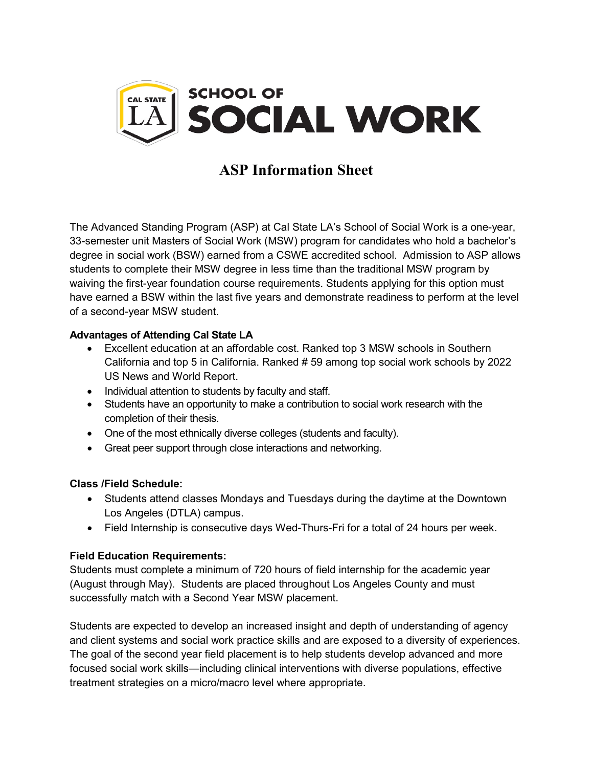

# **ASP Information Sheet**

The Advanced Standing Program (ASP) at Cal State LA's School of Social Work is a one-year, 33-semester unit Masters of Social Work (MSW) program for candidates who hold a bachelor's degree in social work (BSW) earned from a CSWE accredited school. Admission to ASP allows students to complete their MSW degree in less time than the traditional MSW program by waiving the first-year foundation course requirements. Students applying for this option must have earned a BSW within the last five years and demonstrate readiness to perform at the level of a second-year MSW student.

## **Advantages of Attending Cal State LA**

- Excellent education at an affordable cost. Ranked top 3 MSW schools in Southern California and top 5 in California. Ranked # 59 among top social work schools by 2022 US News and World Report.
- Individual attention to students by faculty and staff.
- Students have an opportunity to make a contribution to social work research with the completion of their thesis.
- One of the most ethnically diverse colleges (students and faculty).
- Great peer support through close interactions and networking.

#### **Class /Field Schedule:**

- Students attend classes Mondays and Tuesdays during the daytime at the Downtown Los Angeles (DTLA) campus.
- Field Internship is consecutive days Wed-Thurs-Fri for a total of 24 hours per week.

#### **Field Education Requirements:**

Students must complete a minimum of 720 hours of field internship for the academic year (August through May). Students are placed throughout Los Angeles County and must successfully match with a Second Year MSW placement.

Students are expected to develop an increased insight and depth of understanding of agency and client systems and social work practice skills and are exposed to a diversity of experiences. The goal of the second year field placement is to help students develop advanced and more focused social work skills—including clinical interventions with diverse populations, effective treatment strategies on a micro/macro level where appropriate.